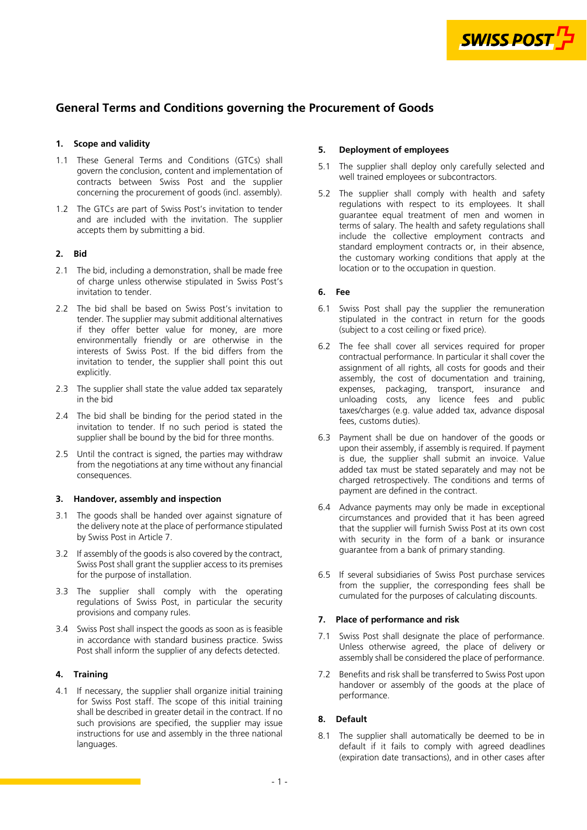

# **General Terms and Conditions governing the Procurement of Goods**

## **1. Scope and validity**

- 1.1 These General Terms and Conditions (GTCs) shall govern the conclusion, content and implementation of contracts between Swiss Post and the supplier concerning the procurement of goods (incl. assembly).
- 1.2 The GTCs are part of Swiss Post's invitation to tender and are included with the invitation. The supplier accepts them by submitting a bid.

## **2. Bid**

- 2.1 The bid, including a demonstration, shall be made free of charge unless otherwise stipulated in Swiss Post's invitation to tender.
- 2.2 The bid shall be based on Swiss Post's invitation to tender. The supplier may submit additional alternatives if they offer better value for money, are more environmentally friendly or are otherwise in the interests of Swiss Post. If the bid differs from the invitation to tender, the supplier shall point this out explicitly.
- 2.3 The supplier shall state the value added tax separately in the bid
- 2.4 The bid shall be binding for the period stated in the invitation to tender. If no such period is stated the supplier shall be bound by the bid for three months.
- 2.5 Until the contract is signed, the parties may withdraw from the negotiations at any time without any financial consequences.

#### **3. Handover, assembly and inspection**

- 3.1 The goods shall be handed over against signature of the delivery note at the place of performance stipulated by Swiss Post in Article 7.
- 3.2 If assembly of the goods is also covered by the contract, Swiss Post shall grant the supplier access to its premises for the purpose of installation.
- 3.3 The supplier shall comply with the operating regulations of Swiss Post, in particular the security provisions and company rules.
- 3.4 Swiss Post shall inspect the goods as soon as is feasible in accordance with standard business practice. Swiss Post shall inform the supplier of any defects detected.

#### **4. Training**

4.1 If necessary, the supplier shall organize initial training for Swiss Post staff. The scope of this initial training shall be described in greater detail in the contract. If no such provisions are specified, the supplier may issue instructions for use and assembly in the three national languages.

## **5. Deployment of employees**

- 5.1 The supplier shall deploy only carefully selected and well trained employees or subcontractors.
- 5.2 The supplier shall comply with health and safety regulations with respect to its employees. It shall guarantee equal treatment of men and women in terms of salary. The health and safety regulations shall include the collective employment contracts and standard employment contracts or, in their absence, the customary working conditions that apply at the location or to the occupation in question.

## **6. Fee**

- 6.1 Swiss Post shall pay the supplier the remuneration stipulated in the contract in return for the goods (subject to a cost ceiling or fixed price).
- 6.2 The fee shall cover all services required for proper contractual performance. In particular it shall cover the assignment of all rights, all costs for goods and their assembly, the cost of documentation and training, expenses, packaging, transport, insurance and unloading costs, any licence fees and public taxes/charges (e.g. value added tax, advance disposal fees, customs duties).
- 6.3 Payment shall be due on handover of the goods or upon their assembly, if assembly is required. If payment is due, the supplier shall submit an invoice. Value added tax must be stated separately and may not be charged retrospectively. The conditions and terms of payment are defined in the contract.
- 6.4 Advance payments may only be made in exceptional circumstances and provided that it has been agreed that the supplier will furnish Swiss Post at its own cost with security in the form of a bank or insurance guarantee from a bank of primary standing.
- 6.5 If several subsidiaries of Swiss Post purchase services from the supplier, the corresponding fees shall be cumulated for the purposes of calculating discounts.

## **7. Place of performance and risk**

- 7.1 Swiss Post shall designate the place of performance. Unless otherwise agreed, the place of delivery or assembly shall be considered the place of performance.
- 7.2 Benefits and risk shall be transferred to Swiss Post upon handover or assembly of the goods at the place of performance.

#### **8. Default**

8.1 The supplier shall automatically be deemed to be in default if it fails to comply with agreed deadlines (expiration date transactions), and in other cases after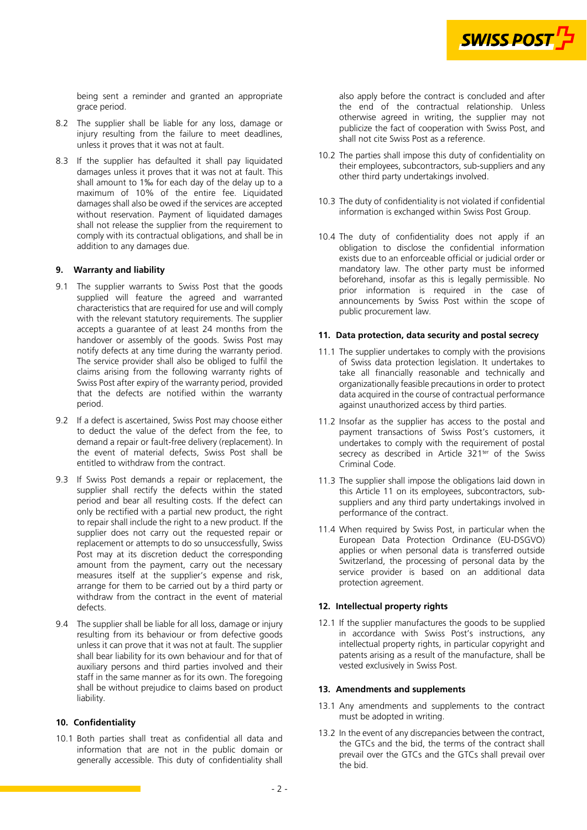

being sent a reminder and granted an appropriate grace period.

- 8.2 The supplier shall be liable for any loss, damage or injury resulting from the failure to meet deadlines, unless it proves that it was not at fault.
- 8.3 If the supplier has defaulted it shall pay liquidated damages unless it proves that it was not at fault. This shall amount to 1‰ for each day of the delay up to a maximum of 10% of the entire fee. Liquidated damages shall also be owed if the services are accepted without reservation. Payment of liquidated damages shall not release the supplier from the requirement to comply with its contractual obligations, and shall be in addition to any damages due.

#### **9. Warranty and liability**

- 9.1 The supplier warrants to Swiss Post that the goods supplied will feature the agreed and warranted characteristics that are required for use and will comply with the relevant statutory requirements. The supplier accepts a guarantee of at least 24 months from the handover or assembly of the goods. Swiss Post may notify defects at any time during the warranty period. The service provider shall also be obliged to fulfil the claims arising from the following warranty rights of Swiss Post after expiry of the warranty period, provided that the defects are notified within the warranty period.
- 9.2 If a defect is ascertained, Swiss Post may choose either to deduct the value of the defect from the fee, to demand a repair or fault-free delivery (replacement). In the event of material defects, Swiss Post shall be entitled to withdraw from the contract.
- 9.3 If Swiss Post demands a repair or replacement, the supplier shall rectify the defects within the stated period and bear all resulting costs. If the defect can only be rectified with a partial new product, the right to repair shall include the right to a new product. If the supplier does not carry out the requested repair or replacement or attempts to do so unsuccessfully, Swiss Post may at its discretion deduct the corresponding amount from the payment, carry out the necessary measures itself at the supplier's expense and risk, arrange for them to be carried out by a third party or withdraw from the contract in the event of material defects.
- 9.4 The supplier shall be liable for all loss, damage or injury resulting from its behaviour or from defective goods unless it can prove that it was not at fault. The supplier shall bear liability for its own behaviour and for that of auxiliary persons and third parties involved and their staff in the same manner as for its own. The foregoing shall be without prejudice to claims based on product liability.

#### **10. Confidentiality**

10.1 Both parties shall treat as confidential all data and information that are not in the public domain or generally accessible. This duty of confidentiality shall also apply before the contract is concluded and after the end of the contractual relationship. Unless otherwise agreed in writing, the supplier may not publicize the fact of cooperation with Swiss Post, and shall not cite Swiss Post as a reference.

- 10.2 The parties shall impose this duty of confidentiality on their employees, subcontractors, sub-suppliers and any other third party undertakings involved.
- 10.3 The duty of confidentiality is not violated if confidential information is exchanged within Swiss Post Group.
- 10.4 The duty of confidentiality does not apply if an obligation to disclose the confidential information exists due to an enforceable official or judicial order or mandatory law. The other party must be informed beforehand, insofar as this is legally permissible. No prior information is required in the case of announcements by Swiss Post within the scope of public procurement law.

#### **11. Data protection, data security and postal secrecy**

- 11.1 The supplier undertakes to comply with the provisions of Swiss data protection legislation. It undertakes to take all financially reasonable and technically and organizationally feasible precautions in order to protect data acquired in the course of contractual performance against unauthorized access by third parties.
- 11.2 Insofar as the supplier has access to the postal and payment transactions of Swiss Post's customers, it undertakes to comply with the requirement of postal secrecy as described in Article 321<sup>ter</sup> of the Swiss Criminal Code.
- 11.3 The supplier shall impose the obligations laid down in this Article 11 on its employees, subcontractors, subsuppliers and any third party undertakings involved in performance of the contract.
- 11.4 When required by Swiss Post, in particular when the European Data Protection Ordinance (EU-DSGVO) applies or when personal data is transferred outside Switzerland, the processing of personal data by the service provider is based on an additional data protection agreement.

#### **12. Intellectual property rights**

12.1 If the supplier manufactures the goods to be supplied in accordance with Swiss Post's instructions, any intellectual property rights, in particular copyright and patents arising as a result of the manufacture, shall be vested exclusively in Swiss Post.

## **13. Amendments and supplements**

- 13.1 Any amendments and supplements to the contract must be adopted in writing.
- 13.2 In the event of any discrepancies between the contract, the GTCs and the bid, the terms of the contract shall prevail over the GTCs and the GTCs shall prevail over the bid.